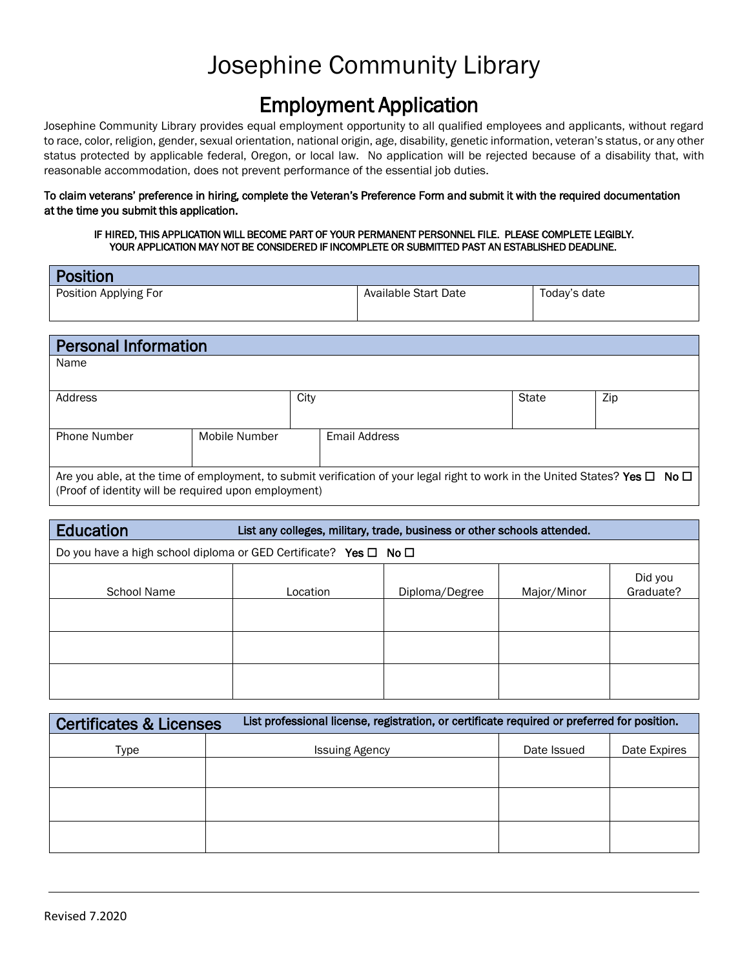### Employment Application

Josephine Community Library provides equal employment opportunity to all qualified employees and applicants, without regard to race, color, religion, gender, sexual orientation, national origin, age, disability, genetic information, veteran's status, or any other status protected by applicable federal, Oregon, or local law. No application will be rejected because of a disability that, with reasonable accommodation, does not prevent performance of the essential job duties.

#### To claim veterans' preference in hiring, complete the Veteran's Preference Form and submit it with the required documentation at the time you submit this application.

#### IF HIRED, THIS APPLICATION WILL BECOME PART OF YOUR PERMANENT PERSONNEL FILE. PLEASE COMPLETE LEGIBLY. YOUR APPLICATION MAY NOT BE CONSIDERED IF INCOMPLETE OR SUBMITTED PAST AN ESTABLISHED DEADLINE.

| Position              |                      |              |
|-----------------------|----------------------|--------------|
| Position Applying For | Available Start Date | Today's date |
|                       |                      |              |

| <b>Personal Information</b>                                                                                                            |               |      |               |       |     |
|----------------------------------------------------------------------------------------------------------------------------------------|---------------|------|---------------|-------|-----|
| Name                                                                                                                                   |               |      |               |       |     |
|                                                                                                                                        |               |      |               |       |     |
| Address                                                                                                                                |               | City |               | State | Zip |
|                                                                                                                                        |               |      |               |       |     |
| <b>Phone Number</b>                                                                                                                    | Mobile Number |      | Email Address |       |     |
|                                                                                                                                        |               |      |               |       |     |
| Are you able, at the time of employment, to submit verification of your legal right to work in the United States? Yes $\Box$ No $\Box$ |               |      |               |       |     |
| (Proof of identity will be required upon employment)                                                                                   |               |      |               |       |     |

| <b>Education</b>                                                           | List any colleges, military, trade, business or other schools attended. |                |             |                      |
|----------------------------------------------------------------------------|-------------------------------------------------------------------------|----------------|-------------|----------------------|
| Do you have a high school diploma or GED Certificate? Yes $\Box$ No $\Box$ |                                                                         |                |             |                      |
| School Name                                                                | Location                                                                | Diploma/Degree | Major/Minor | Did you<br>Graduate? |
|                                                                            |                                                                         |                |             |                      |
|                                                                            |                                                                         |                |             |                      |
|                                                                            |                                                                         |                |             |                      |

| <b>Certificates &amp; Licenses</b> | List professional license, registration, or certificate required or preferred for position. |             |              |
|------------------------------------|---------------------------------------------------------------------------------------------|-------------|--------------|
| Type                               | <b>Issuing Agency</b>                                                                       | Date Issued | Date Expires |
|                                    |                                                                                             |             |              |
|                                    |                                                                                             |             |              |
|                                    |                                                                                             |             |              |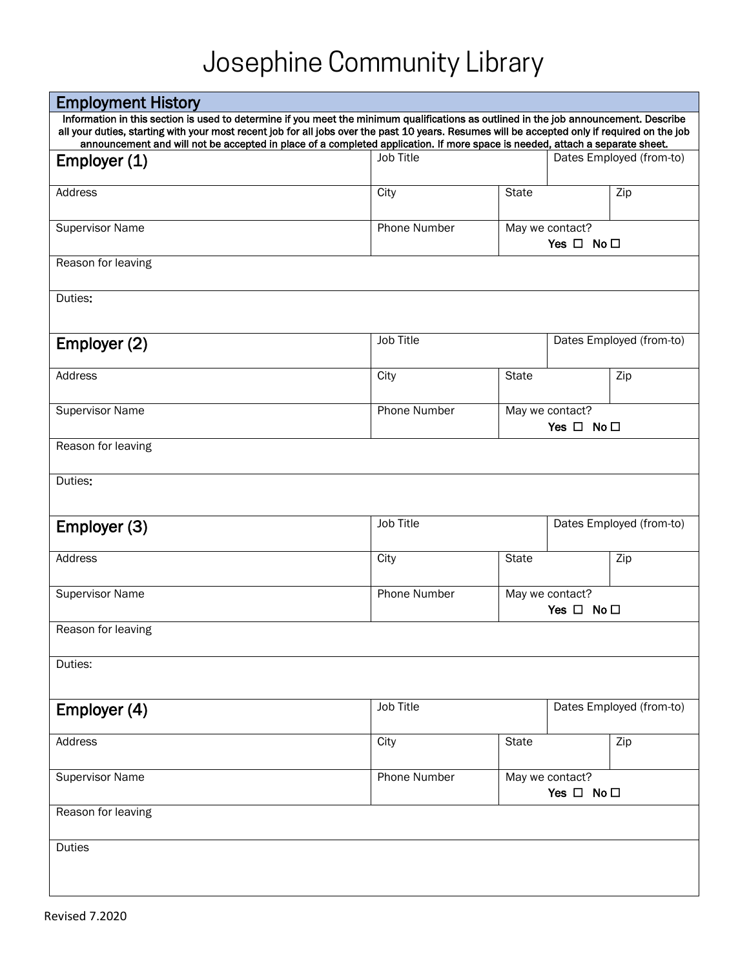| <b>Employment History</b>                                                                                                                                                                                                                                                                                                                                                                                              |                     |                                               |                                               |                          |
|------------------------------------------------------------------------------------------------------------------------------------------------------------------------------------------------------------------------------------------------------------------------------------------------------------------------------------------------------------------------------------------------------------------------|---------------------|-----------------------------------------------|-----------------------------------------------|--------------------------|
| Information in this section is used to determine if you meet the minimum qualifications as outlined in the job announcement. Describe<br>all your duties, starting with your most recent job for all jobs over the past 10 years. Resumes will be accepted only if required on the job<br>announcement and will not be accepted in place of a completed application. If more space is needed, attach a separate sheet. |                     |                                               |                                               |                          |
| Employer (1)                                                                                                                                                                                                                                                                                                                                                                                                           | Job Title           |                                               |                                               | Dates Employed (from-to) |
| Address                                                                                                                                                                                                                                                                                                                                                                                                                | City                | <b>State</b>                                  |                                               | Zip                      |
| <b>Supervisor Name</b>                                                                                                                                                                                                                                                                                                                                                                                                 | Phone Number        |                                               | May we contact?<br>Yes $\square$ No $\square$ |                          |
| Reason for leaving                                                                                                                                                                                                                                                                                                                                                                                                     |                     |                                               |                                               |                          |
| Duties:                                                                                                                                                                                                                                                                                                                                                                                                                |                     |                                               |                                               |                          |
| Employer (2)                                                                                                                                                                                                                                                                                                                                                                                                           | Job Title           |                                               |                                               | Dates Employed (from-to) |
| Address                                                                                                                                                                                                                                                                                                                                                                                                                | City                | <b>State</b>                                  |                                               | Zip                      |
| <b>Supervisor Name</b>                                                                                                                                                                                                                                                                                                                                                                                                 | <b>Phone Number</b> | May we contact?<br>Yes $\Box$ No $\Box$       |                                               |                          |
| Reason for leaving                                                                                                                                                                                                                                                                                                                                                                                                     |                     |                                               |                                               |                          |
| Duties:                                                                                                                                                                                                                                                                                                                                                                                                                |                     |                                               |                                               |                          |
| Employer (3)                                                                                                                                                                                                                                                                                                                                                                                                           | Job Title           |                                               |                                               | Dates Employed (from-to) |
| Address                                                                                                                                                                                                                                                                                                                                                                                                                | City                | <b>State</b>                                  |                                               | Zip                      |
| <b>Supervisor Name</b>                                                                                                                                                                                                                                                                                                                                                                                                 | Phone Number        |                                               | May we contact?<br>Yes $\Box$ No $\Box$       |                          |
| Reason for leaving                                                                                                                                                                                                                                                                                                                                                                                                     |                     |                                               |                                               |                          |
| Duties:                                                                                                                                                                                                                                                                                                                                                                                                                |                     |                                               |                                               |                          |
| Employer (4)                                                                                                                                                                                                                                                                                                                                                                                                           | Job Title           |                                               |                                               | Dates Employed (from-to) |
| Address                                                                                                                                                                                                                                                                                                                                                                                                                | City                | <b>State</b>                                  |                                               | Zip                      |
| <b>Supervisor Name</b>                                                                                                                                                                                                                                                                                                                                                                                                 | Phone Number        | May we contact?<br>Yes $\square$ No $\square$ |                                               |                          |
| Reason for leaving                                                                                                                                                                                                                                                                                                                                                                                                     |                     |                                               |                                               |                          |
| <b>Duties</b>                                                                                                                                                                                                                                                                                                                                                                                                          |                     |                                               |                                               |                          |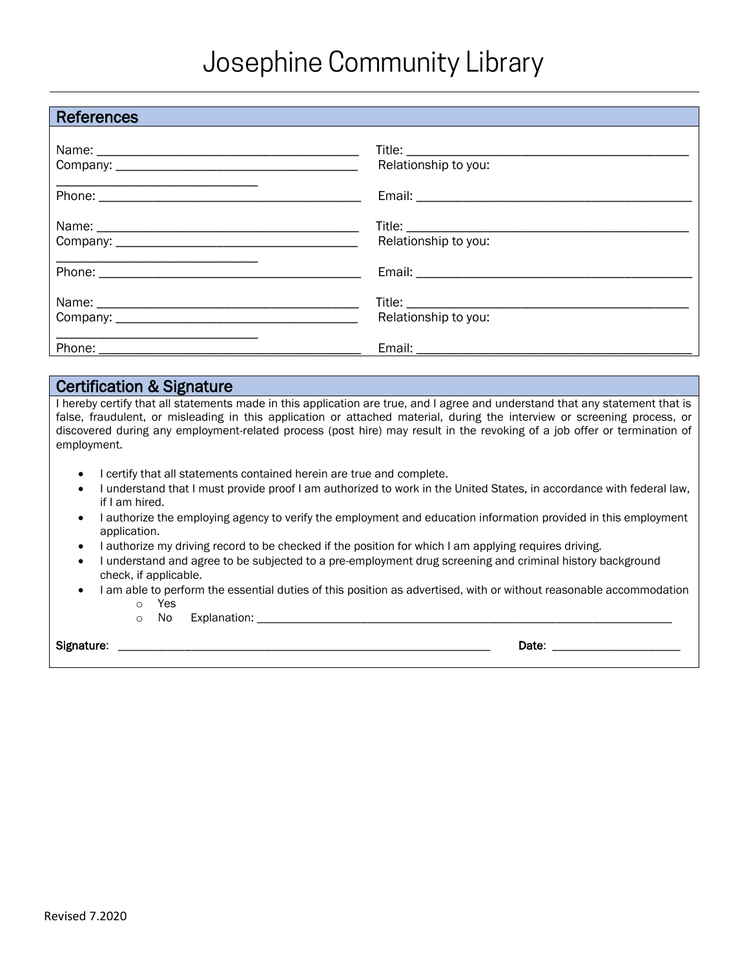| <b>References</b>                                                                                                     |                      |
|-----------------------------------------------------------------------------------------------------------------------|----------------------|
|                                                                                                                       | Relationship to you: |
|                                                                                                                       |                      |
|                                                                                                                       | Relationship to you: |
| <u> 1989 - An Dùbhlachd ann an Dùbhlachd ann an Dùbhlachd ann an Dùbhlachd ann an Dùbhlachd ann an Dùbhlachd ann </u> |                      |
|                                                                                                                       | Relationship to you: |
|                                                                                                                       |                      |

#### Certification & Signature

I hereby certify that all statements made in this application are true, and I agree and understand that any statement that is false, fraudulent, or misleading in this application or attached material, during the interview or screening process, or discovered during any employment-related process (post hire) may result in the revoking of a job offer or termination of employment.

- I certify that all statements contained herein are true and complete.
- I understand that I must provide proof I am authorized to work in the United States, in accordance with federal law, if I am hired.
- I authorize the employing agency to verify the employment and education information provided in this employment application.
- I authorize my driving record to be checked if the position for which I am applying requires driving.
- I understand and agree to be subjected to a pre-employment drug screening and criminal history background check, if applicable.
- I am able to perform the essential duties of this position as advertised, with or without reasonable accommodation
	- o Yes
	- o No Explanation: \_\_\_\_\_\_\_\_\_\_\_\_\_\_\_\_\_\_\_\_\_\_\_\_\_\_\_\_\_\_\_\_\_\_\_\_\_\_\_\_\_\_\_\_\_\_\_\_\_\_\_\_\_\_\_\_\_\_\_\_\_\_\_\_\_\_\_\_

Signature: \_\_\_\_\_\_\_\_\_\_\_\_\_\_\_\_\_\_\_\_\_\_\_\_\_\_\_\_\_\_\_\_\_\_\_\_\_\_\_\_\_\_\_\_\_\_\_\_\_\_\_\_\_\_\_\_\_\_\_\_\_ Date: \_\_\_\_\_\_\_\_\_\_\_\_\_\_\_\_\_\_\_\_\_